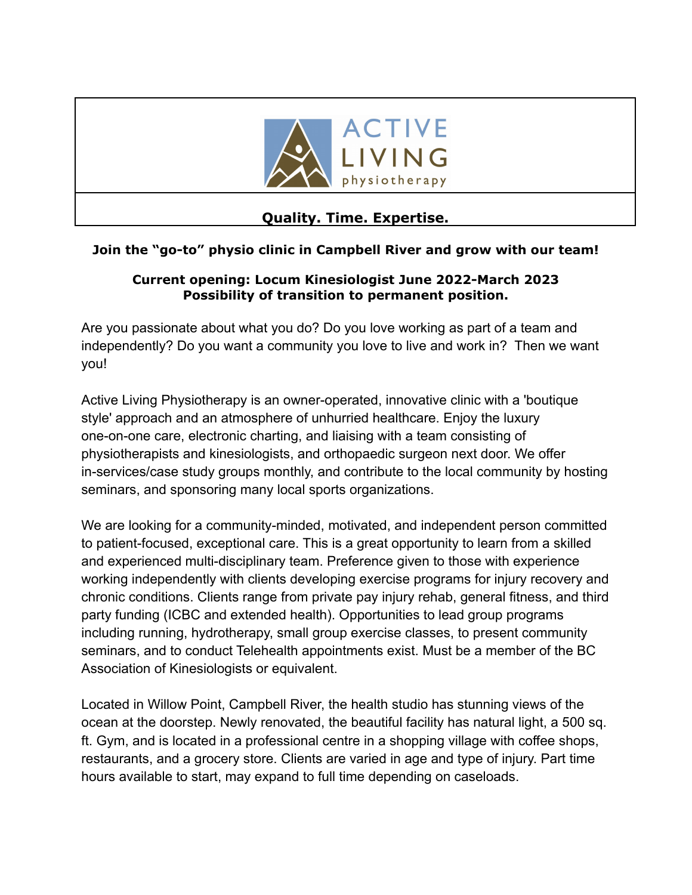

# **Quality. Time. Expertise.**

# **Join the "go-to" physio clinic in Campbell River and grow with our team!**

#### **Current opening: Locum Kinesiologist June 2022-March 2023 Possibility of transition to permanent position.**

Are you passionate about what you do? Do you love working as part of a team and independently? Do you want a community you love to live and work in? Then we want you!

Active Living Physiotherapy is an owner-operated, innovative clinic with a 'boutique style' approach and an atmosphere of unhurried healthcare. Enjoy the luxury one-on-one care, electronic charting, and liaising with a team consisting of physiotherapists and kinesiologists, and orthopaedic surgeon next door. We offer in-services/case study groups monthly, and contribute to the local community by hosting seminars, and sponsoring many local sports organizations.

We are looking for a community-minded, motivated, and independent person committed to patient-focused, exceptional care. This is a great opportunity to learn from a skilled and experienced multi-disciplinary team. Preference given to those with experience working independently with clients developing exercise programs for injury recovery and chronic conditions. Clients range from private pay injury rehab, general fitness, and third party funding (ICBC and extended health). Opportunities to lead group programs including running, hydrotherapy, small group exercise classes, to present community seminars, and to conduct Telehealth appointments exist. Must be a member of the BC Association of Kinesiologists or equivalent.

Located in Willow Point, Campbell River, the health studio has stunning views of the ocean at the doorstep. Newly renovated, the beautiful facility has natural light, a 500 sq. ft. Gym, and is located in a professional centre in a shopping village with coffee shops, restaurants, and a grocery store. Clients are varied in age and type of injury. Part time hours available to start, may expand to full time depending on caseloads.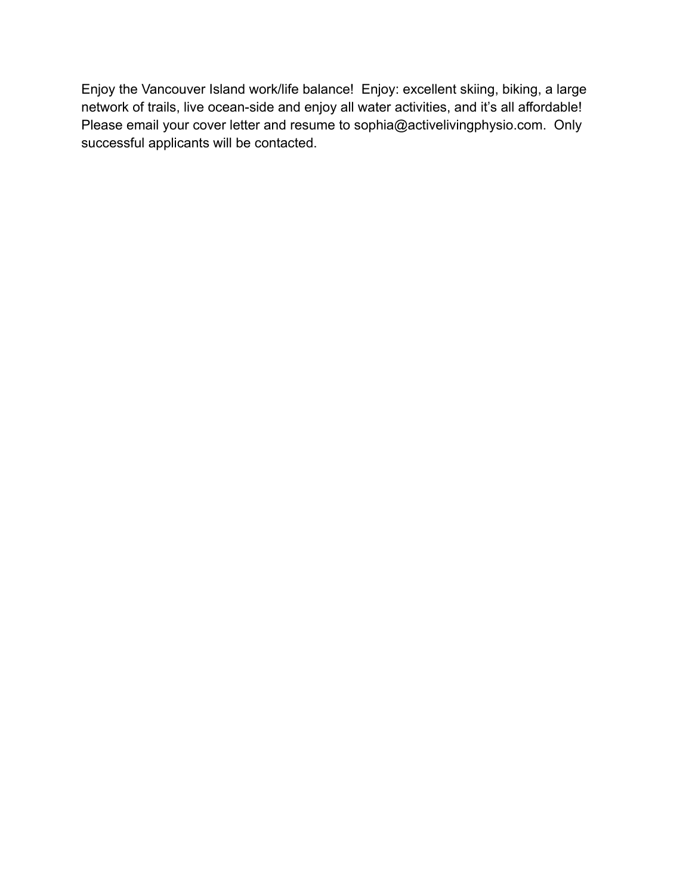Enjoy the Vancouver Island work/life balance! Enjoy: excellent skiing, biking, a large network of trails, live ocean-side and enjoy all water activities, and it's all affordable! Please email your cover letter and resume to sophia@activelivingphysio.com. Only successful applicants will be contacted.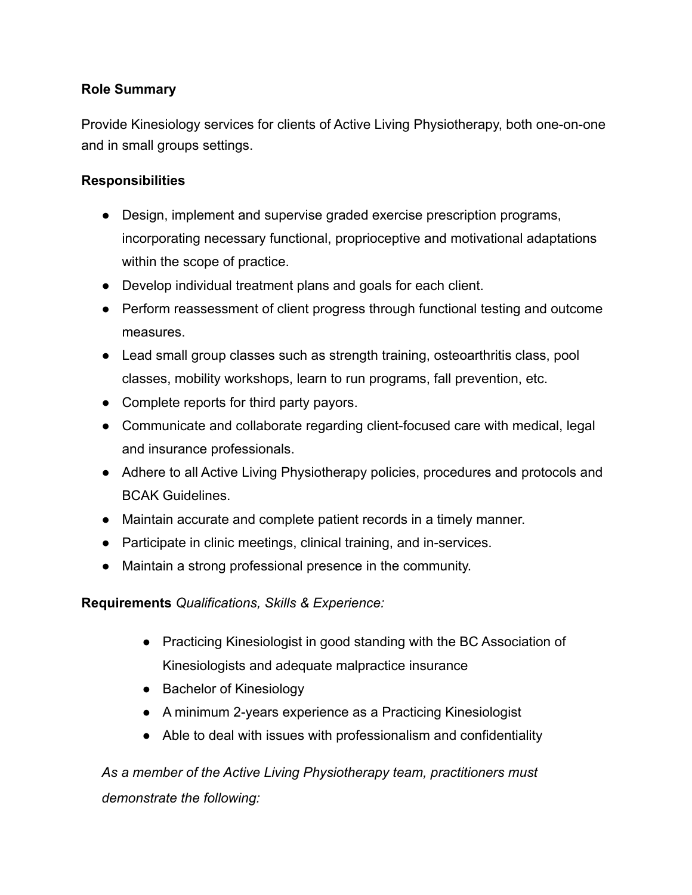### **Role Summary**

Provide Kinesiology services for clients of Active Living Physiotherapy, both one-on-one and in small groups settings.

# **Responsibilities**

- Design, implement and supervise graded exercise prescription programs, incorporating necessary functional, proprioceptive and motivational adaptations within the scope of practice.
- Develop individual treatment plans and goals for each client.
- Perform reassessment of client progress through functional testing and outcome measures.
- Lead small group classes such as strength training, osteoarthritis class, pool classes, mobility workshops, learn to run programs, fall prevention, etc.
- Complete reports for third party payors.
- Communicate and collaborate regarding client-focused care with medical, legal and insurance professionals.
- Adhere to all Active Living Physiotherapy policies, procedures and protocols and BCAK Guidelines.
- Maintain accurate and complete patient records in a timely manner.
- Participate in clinic meetings, clinical training, and in-services.
- Maintain a strong professional presence in the community.

**Requirements** *Qualifications, Skills & Experience:*

- Practicing Kinesiologist in good standing with the BC Association of Kinesiologists and adequate malpractice insurance
- Bachelor of Kinesiology
- A minimum 2-years experience as a Practicing Kinesiologist
- Able to deal with issues with professionalism and confidentiality

*As a member of the Active Living Physiotherapy team, practitioners must demonstrate the following:*